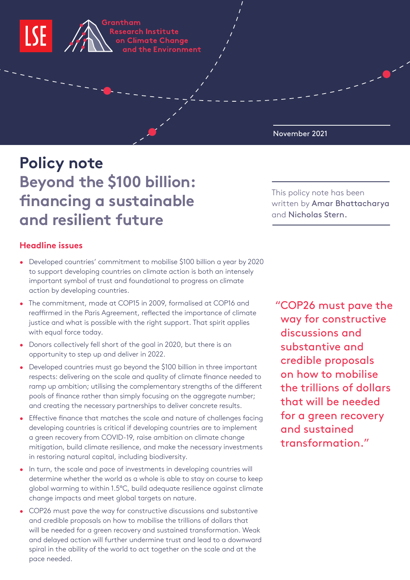

Grantham Research Institute on Climate Change and the Environment

**October 2021** November 2021

# **Policy note Beyond the \$100 billion: financing a sustainable and resilient future**

## **Headline issues**

- Developed countries' commitment to mobilise \$100 billion a year by 2020 to support developing countries on climate action is both an intensely important symbol of trust and foundational to progress on climate action by developing countries.
- The commitment, made at COP15 in 2009, formalised at COP16 and reaffirmed in the Paris Agreement, reflected the importance of climate justice and what is possible with the right support. That spirit applies with equal force today.
- Donors collectively fell short of the goal in 2020, but there is an opportunity to step up and deliver in 2022.
- Developed countries must go beyond the \$100 billion in three important respects: delivering on the scale and quality of climate finance needed to ramp up ambition; utilising the complementary strengths of the different pools of finance rather than simply focusing on the aggregate number; and creating the necessary partnerships to deliver concrete results.
- Effective finance that matches the scale and nature of challenges facing developing countries is critical if developing countries are to implement a green recovery from COVID-19, raise ambition on climate change mitigation, build climate resilience, and make the necessary investments in restoring natural capital, including biodiversity.
- In turn, the scale and pace of investments in developing countries will determine whether the world as a whole is able to stay on course to keep global warming to within 1.5°C, build adequate resilience against climate change impacts and meet global targets on nature.
- COP26 must pave the way for constructive discussions and substantive and credible proposals on how to mobilise the trillions of dollars that will be needed for a green recovery and sustained transformation. Weak and delayed action will further undermine trust and lead to a downward spiral in the ability of the world to act together on the scale and at the pace needed.

This policy note has been written by Amar Bhattacharya and Nicholas Stern.

 "COP26 must pave the way for constructive discussions and substantive and credible proposals on how to mobilise the trillions of dollars that will be needed for a green recovery and sustained transformation."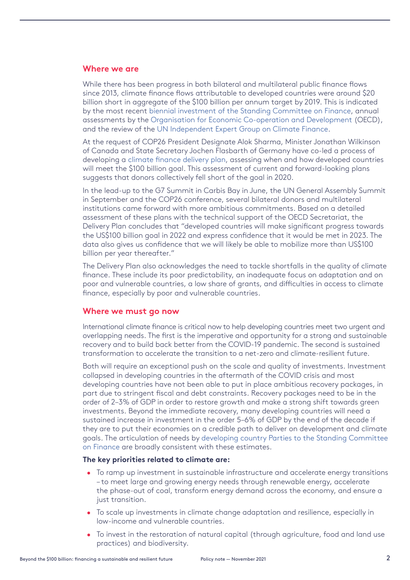#### **Where we are**

While there has been progress in both bilateral and multilateral public finance flows since 2013, climate finance flows attributable to developed countries were around \$20 billion short in aggregate of the \$100 billion per annum target by 2019. This is indicated by the most recent [biennial investment of the Standing Committee on Finance,](https://unfccc.int/sites/default/files/resource/54307_1 - UNFCCC BA 2020 - Report - V4.pdf) annual assessments by the [Organisation for Economic Co-operation and Development](https://www.oecd.org/env/climate-finance-provided-and-mobilised-by-developed-countries-aggregate-trends-updated-with-2019-data-03590fb7-en.htm?) (OECD), and the review of the [UN Independent Expert Group on Climate Finance.](https://www.un.org/sites/un2.un.org/files/100_billion_climate_finance_report.pdf)

At the request of COP26 President Designate Alok Sharma, Minister Jonathan Wilkinson of Canada and State Secretary Jochen Flasbarth of Germany have co-led a process of developing a [climate finance delivery plan](https://ukcop26.org/wp-content/uploads/2021/10/Climate-Finance-Delivery-Plan-1.pdf), assessing when and how developed countries will meet the \$100 billion goal. This assessment of current and forward-looking plans suggests that donors collectively fell short of the goal in 2020.

In the lead-up to the G7 Summit in Carbis Bay in June, the UN General Assembly Summit in September and the COP26 conference, several bilateral donors and multilateral institutions came forward with more ambitious commitments. Based on a detailed assessment of these plans with the technical support of the OECD Secretariat, the Delivery Plan concludes that "developed countries will make significant progress towards the US\$100 billion goal in 2022 and express confidence that it would be met in 2023. The data also gives us confidence that we will likely be able to mobilize more than US\$100 billion per year thereafter."

The Delivery Plan also acknowledges the need to tackle shortfalls in the quality of climate finance. These include its poor predictability, an inadequate focus on adaptation and on poor and vulnerable countries, a low share of grants, and difficulties in access to climate finance, especially by poor and vulnerable countries.

### **Where we must go now**

International climate finance is critical now to help developing countries meet two urgent and overlapping needs. The first is the imperative and opportunity for a strong and sustainable recovery and to build back better from the COVID-19 pandemic. The second is sustained transformation to accelerate the transition to a net-zero and climate-resilient future.

Both will require an exceptional push on the scale and quality of investments. Investment collapsed in developing countries in the aftermath of the COVID crisis and most developing countries have not been able to put in place ambitious recovery packages, in part due to stringent fiscal and debt constraints. Recovery packages need to be in the order of 2–3% of GDP in order to restore growth and make a strong shift towards green investments. Beyond the immediate recovery, many developing countries will need a sustained increase in investment in the order 5–6% of GDP by the end of the decade if they are to put their economies on a credible path to deliver on development and climate goals. The articulation of needs by [developing country Parties to the Standing Committee](https://unfccc.int/sites/default/files/resource/54307_2 - UNFCCC First NDR technical report - web %28004%29.pdf)  [on Finance](https://unfccc.int/sites/default/files/resource/54307_2 - UNFCCC First NDR technical report - web %28004%29.pdf) are broadly consistent with these estimates.

#### **The key priorities related to climate are:**

- To ramp up investment in sustainable infrastructure and accelerate energy transitions – to meet large and growing energy needs through renewable energy, accelerate the phase-out of coal, transform energy demand across the economy, and ensure a just transition.
- To scale up investments in climate change adaptation and resilience, especially in low-income and vulnerable countries.
- To invest in the restoration of natural capital (through agriculture, food and land use practices) and biodiversity.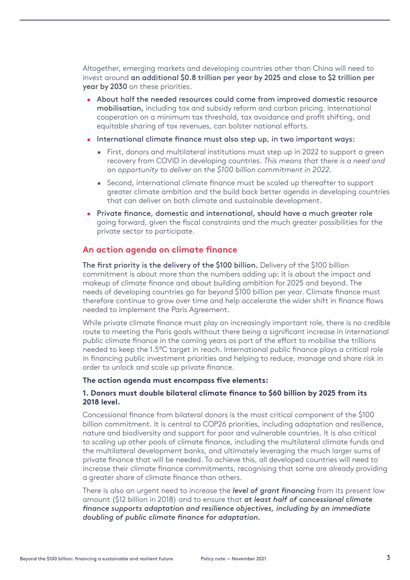Altogether, emerging markets and developing countries other than China will need to invest around an additional \$0.8 trillion per year by 2025 and close to \$2 trillion per year by 2030 on these priorities.

- About half the needed resources could come from improved domestic resource mobilisation, including tax and subsidy reform and carbon pricing. International cooperation on a minimum tax threshold, tax avoidance and profit shifting, and equitable sharing of tax revenues, can bolster national efforts.
- International climate finance must also step up, in two important ways:
	- First, donors and multilateral institutions must step up in 2022 to support a green recovery from COVID in developing countries. *This means that there is a need and an opportunity to deliver on the \$100 billion commitment in 2022.*
	- Second, international climate finance must be scaled up thereafter to support greater climate ambition and the build back better agenda in developing countries that can deliver on both climate and sustainable development.
- Private finance, domestic and international, should have a much greater role going forward, given the fiscal constraints and the much greater possibilities for the private sector to participate.

### **An action agenda on climate finance**

The first priority is the delivery of the \$100 billion. Delivery of the \$100 billion commitment is about more than the numbers adding up: it is about the impact and makeup of climate finance and about building ambition for 2025 and beyond. The needs of developing countries go far beyond \$100 billion per year. Climate finance must therefore continue to grow over time and help accelerate the wider shift in finance flows needed to implement the Paris Agreement.

While private climate finance must play an increasingly important role, there is no credible route to meeting the Paris goals without there being a significant increase in international public climate finance in the coming years as part of the effort to mobilise the trillions needed to keep the 1.5°C target in reach. International public finance plays a critical role in financing public investment priorities and helping to reduce, manage and share risk in order to unlock and scale up private finance.

#### **The action agenda must encompass five elements:**

#### **1. Donors must double bilateral climate finance to \$60 billion by 2025 from its 2018 level.**

Concessional finance from bilateral donors is the most critical component of the \$100 billion commitment. It is central to COP26 priorities, including adaptation and resilience, nature and biodiversity and support for poor and vulnerable countries. It is also critical to scaling up other pools of climate finance, including the multilateral climate funds and the multilateral development banks, and ultimately leveraging the much larger sums of private finance that will be needed. To achieve this, all developed countries will need to increase their climate finance commitments, recognising that some are already providing a greater share of climate finance than others.

There is also an urgent need to increase the *level of grant financing* from its present low amount (\$12 billion in 2018) and to ensure that *at least half of concessional climate finance supports adaptation and resilience objectives, including by an immediate doubling of public climate finance for adaptation.*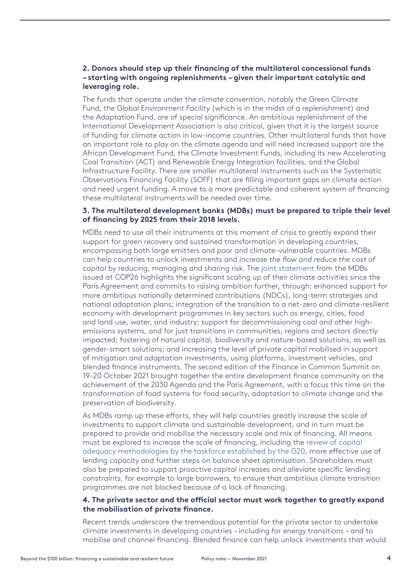### **2. Donors should step up their financing of the multilateral concessional funds – starting with ongoing replenishments – given their important catalytic and leveraging role.**

The funds that operate under the climate convention, notably the Green Climate Fund, the Global Environment Facility (which is in the midst of a replenishment) and the Adaptation Fund, are of special significance. An ambitious replenishment of the International Development Association is also critical, given that it is the largest source of funding for climate action in low-income countries. Other multilateral funds that have an important role to play on the climate agenda and will need increased support are the African Development Fund, the Climate Investment Funds, including its new Accelerating Coal Transition (ACT) and Renewable Energy Integration facilities, and the Global Infrastructure Facility. There are smaller multilateral instruments such as the Systematic Observations Financing Facility (SOFF) that are filling important gaps on climate action and need urgent funding. A move to a more predictable and coherent system of financing these multilateral instruments will be needed over time.

#### **3. The multilateral development banks (MDBs) must be prepared to triple their level of financing by 2025 from their 2018 levels.**

MDBs need to use all their instruments at this moment of crisis to greatly expand their support for green recovery and sustained transformation in developing countries, encompassing both large emitters and poor and climate-vulnerable countries. MDBs can help countries to unlock investments and *increase the flow and reduce the cost of capital* by reducing, managing and sharing risk. The [joint statement](https://ukcop26.org/mdb-joint-climate-statement/) from the MDBs issued at COP26 highlights the significant scaling up of their climate activities since the Paris Agreement and commits to raising ambition further, through: enhanced support for more ambitious nationally determined contributions (NDCs), long-term strategies and national adaptation plans; integration of the transition to a net-zero and climate-resilient economy with development programmes in key sectors such as energy, cities, food and land use, water, and industry; support for decommissioning coal and other highemissions systems, and for just transitions in communities, regions and sectors directly impacted; fostering of natural capital, biodiversity and nature-based solutions, as well as gender-smart solutions; and increasing the level of private capital mobilised in support of mitigation and adaptation investments, using platforms, investment vehicles, and blended finance instruments. The second edition of the Finance in Common Summit on 19–20 October 2021 brought together the entire development finance community on the achievement of the 2030 Agenda and the Paris Agreement, with a focus this time on the transformation of food systems for food security, adaptation to climate change and the preservation of biodiversity.

As MDBs ramp up these efforts, they will help countries greatly increase the scale of investments to support climate and sustainable development, and in turn must be prepared to provide and mobilise the necessary scale and mix of financing. All means must be explored to increase the scale of financing, including the [review of capital](http://www.g20.utoronto.ca/2021/210710-finance-annex-1.html)  [adequacy methodologies by the taskforce established by the G20](http://www.g20.utoronto.ca/2021/210710-finance-annex-1.html), more effective use of lending capacity and further steps on balance sheet optimisation. Shareholders must also be prepared to support proactive capital increases and alleviate specific lending constraints, for example to large borrowers, to ensure that ambitious climate transition programmes are not blocked because of a lack of financing.

#### **4. The private sector and the official sector must work together to greatly expand the mobilisation of private finance.**

Recent trends underscore the tremendous potential for the private sector to undertake climate investments in developing countries – including for energy transitions – and to mobilise and channel financing. Blended finance can help unlock investments that would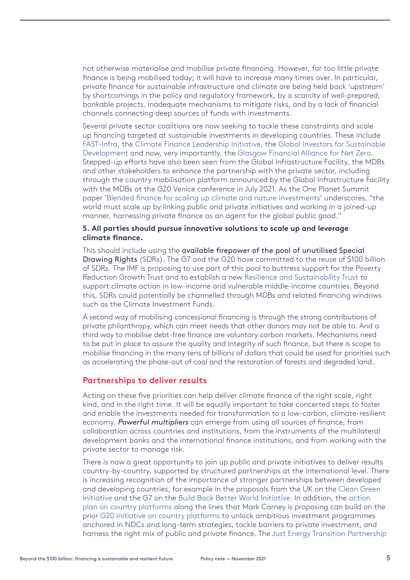not otherwise materialise and mobilise private financing. However, far too little private finance is being mobilised today; it will have to increase many times over. In particular, private finance for sustainable infrastructure and climate are being held back 'upstream' by shortcomings in the policy and regulatory framework, by a scarcity of well-prepared, bankable projects, inadequate mechanisms to mitigate risks, and by a lack of financial channels connecting deep sources of funds with investments.

Several private sector coalitions are now seeking to tackle these constraints and scale up financing targeted at sustainable investments in developing countries. These include [FAST-Infra](https://www.climatepolicyinitiative.org/fast-infra/), the [Climate Finance Leadership Initiative,](https://www.bloomberg.com/cfli/about/) the [Global Investors for Sustainable](https://www.gisdalliance.org/)  [Development](https://www.gisdalliance.org/) and now, very importantly, the [Glasgow Financial Alliance for Net Zero](https://www.gfanzero.com/). Stepped-up efforts have also been seen from the Global Infrastructure Facility, the MDBs and other stakeholders to enhance the partnership with the private sector, including through the country mobilisation platform announced by the Global Infrastructure Facility with the MDBs at the G20 Venice conference in July 2021. As the One Planet Summit paper ['Blended finance for scaling up climate and nature investments](https://www.lse.ac.uk/granthaminstitute/wp-content/uploads/2021/11/Blended-Finance-for-Scaling-Up-Climate-and-Nature-Investments-1.pdf)' underscores, "the world must scale up by linking public and private initiatives and working in a joined-up manner, harnessing private finance as an agent for the global public good."

#### **5. All parties should pursue innovative solutions to scale up and leverage climate finance.**

This should include using the available firepower of the pool of unutilised Special Drawing Rights (SDRs). The G7 and the G20 have committed to the reuse of \$100 billion of SDRs. The IMF is proposing to use part of this pool to buttress support for the Poverty Reduction Growth Trust and to establish a new [Resilience and Sustainability Trust](https://blogs.imf.org/2021/10/08/sharing-the-recovery-sdr-channeling-and-a-new-trust/) to support climate action in low-income and vulnerable middle-income countries. Beyond this, SDRs could potentially be channelled through MDBs and related financing windows such as the Climate Investment Funds.

A second way of mobilising concessional financing is through the strong contributions of private philanthropy, which can meet needs that other donors may not be able to. And a third way to mobilise debt-free finance are voluntary carbon markets. Mechanisms need to be put in place to assure the quality and integrity of such finance, but there is scope to mobilise financing in the many tens of billions of dollars that could be used for priorities such as accelerating the phase-out of coal and the restoration of forests and degraded land.

### **Partnerships to deliver results**

Acting on these five priorities can help deliver climate finance of the right scale, right kind, and in the right time. It will be equally important to take concerted steps to foster and enable the investments needed for transformation to a low-carbon, climate-resilient economy. *Powerful multipliers* can emerge from using all sources of finance, from collaboration across countries and institutions, from the instruments of the multilateral development banks and the international finance institutions, and from working with the private sector to manage risk.

There is now a great opportunity to join up public and private initiatives to deliver results country-by-country, supported by structured partnerships at the international level. There is increasing recognition of the importance of stronger partnerships between developed and developing countries, for example in the proposals from the UK on the [Clean Green](https://www.gov.uk/government/news/pm-launches-new-initiative-to-take-green-industrial-revolution-global)  [Initiative](https://www.gov.uk/government/news/pm-launches-new-initiative-to-take-green-industrial-revolution-global) and the G7 on the [Build Back Better World Initiative](https://www.whitehouse.gov/briefing-room/statements-releases/2021/06/12/fact-sheet-president-biden-and-g7-leaders-launch-build-back-better-world-b3w-partnership/). In addition, the [action](https://assets.bbhub.io/company/sites/63/2021/11/Country-Platforms-Action-Plan.pdf)  [plan on country platforms](https://assets.bbhub.io/company/sites/63/2021/11/Country-Platforms-Action-Plan.pdf) along the lines that Mark Carney is proposing can build on the prior [G20 initiative on country platforms](http://www.mof.gov.cn/en/Cooperation/mulid/202011/P020201104581749367491.pdf) to unlock ambitious investment programmes anchored in NDCs and long-term strategies, tackle barriers to private investment, and harness the right mix of public and private finance. The [Just Energy Transition Partnership](https://ukcop26.org/political-declaration-on-the-just-energy-transition-in-south-africa/)